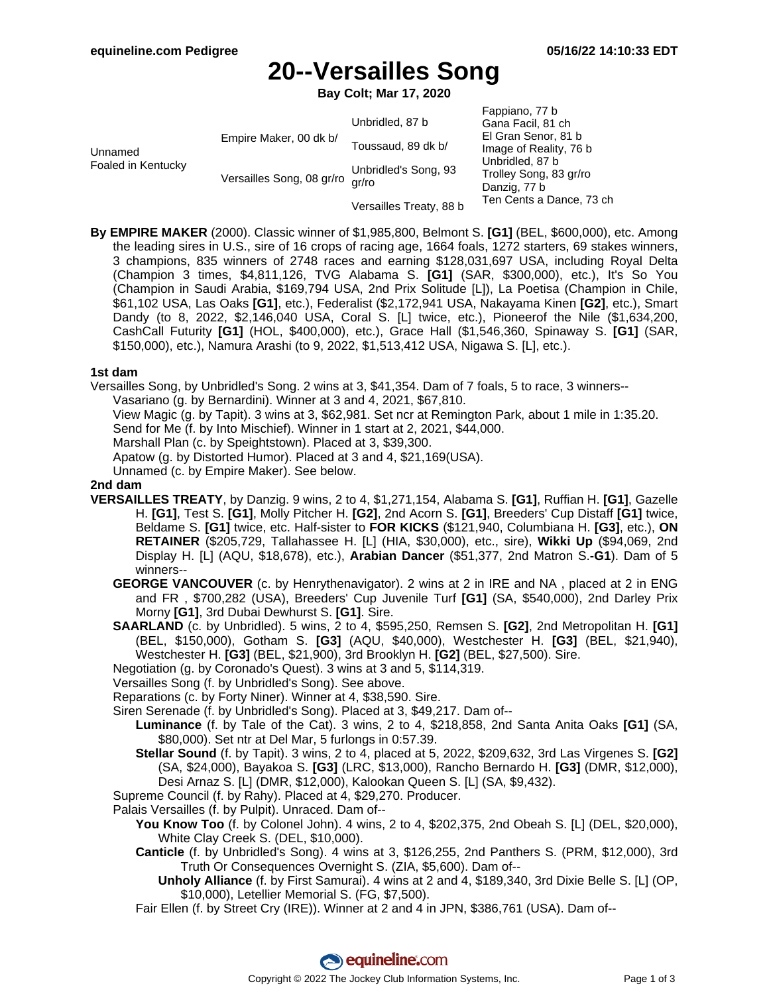# **20--Versailles Song**

**Bay Colt; Mar 17, 2020**

|                               |                           |                         | Fappiano, 77 b           |
|-------------------------------|---------------------------|-------------------------|--------------------------|
| Unnamed<br>Foaled in Kentucky | Empire Maker, 00 dk b/    | Unbridled, 87 b         | Gana Facil, 81 ch        |
|                               |                           |                         | El Gran Senor, 81 b      |
|                               |                           | Toussaud, 89 dk b/      | Image of Reality, 76 b   |
|                               | Versailles Song, 08 gr/ro | Unbridled's Song, 93    | Unbridled, 87 b          |
|                               |                           |                         | Trolley Song, 83 gr/ro   |
|                               |                           | ar/ro                   | Danzig, 77 b             |
|                               |                           | Versailles Treaty, 88 b | Ten Cents a Dance, 73 ch |

**By EMPIRE MAKER** (2000). Classic winner of \$1,985,800, Belmont S. **[G1]** (BEL, \$600,000), etc. Among the leading sires in U.S., sire of 16 crops of racing age, 1664 foals, 1272 starters, 69 stakes winners, 3 champions, 835 winners of 2748 races and earning \$128,031,697 USA, including Royal Delta (Champion 3 times, \$4,811,126, TVG Alabama S. **[G1]** (SAR, \$300,000), etc.), It's So You (Champion in Saudi Arabia, \$169,794 USA, 2nd Prix Solitude [L]), La Poetisa (Champion in Chile, \$61,102 USA, Las Oaks **[G1]**, etc.), Federalist (\$2,172,941 USA, Nakayama Kinen **[G2]**, etc.), Smart Dandy (to 8, 2022, \$2,146,040 USA, Coral S. [L] twice, etc.), Pioneerof the Nile (\$1,634,200, CashCall Futurity **[G1]** (HOL, \$400,000), etc.), Grace Hall (\$1,546,360, Spinaway S. **[G1]** (SAR, \$150,000), etc.), Namura Arashi (to 9, 2022, \$1,513,412 USA, Nigawa S. [L], etc.).

#### **1st dam**

Versailles Song, by Unbridled's Song. 2 wins at 3, \$41,354. Dam of 7 foals, 5 to race, 3 winners--

Vasariano (g. by Bernardini). Winner at 3 and 4, 2021, \$67,810.

View Magic (g. by Tapit). 3 wins at 3, \$62,981. Set ncr at Remington Park, about 1 mile in 1:35.20.

Send for Me (f. by Into Mischief). Winner in 1 start at 2, 2021, \$44,000.

Marshall Plan (c. by Speightstown). Placed at 3, \$39,300.

Apatow (g. by Distorted Humor). Placed at 3 and 4, \$21,169(USA).

Unnamed (c. by Empire Maker). See below.

#### **2nd dam**

- **VERSAILLES TREATY**, by Danzig. 9 wins, 2 to 4, \$1,271,154, Alabama S. **[G1]**, Ruffian H. **[G1]**, Gazelle H. **[G1]**, Test S. **[G1]**, Molly Pitcher H. **[G2]**, 2nd Acorn S. **[G1]**, Breeders' Cup Distaff **[G1]** twice, Beldame S. **[G1]** twice, etc. Half-sister to **FOR KICKS** (\$121,940, Columbiana H. **[G3]**, etc.), **ON RETAINER** (\$205,729, Tallahassee H. [L] (HIA, \$30,000), etc., sire), **Wikki Up** (\$94,069, 2nd Display H. [L] (AQU, \$18,678), etc.), **Arabian Dancer** (\$51,377, 2nd Matron S.**-G1**). Dam of 5 winners--
	- **GEORGE VANCOUVER** (c. by Henrythenavigator). 2 wins at 2 in IRE and NA , placed at 2 in ENG and FR , \$700,282 (USA), Breeders' Cup Juvenile Turf **[G1]** (SA, \$540,000), 2nd Darley Prix Morny **[G1]**, 3rd Dubai Dewhurst S. **[G1]**. Sire.
	- **SAARLAND** (c. by Unbridled). 5 wins, 2 to 4, \$595,250, Remsen S. **[G2]**, 2nd Metropolitan H. **[G1]** (BEL, \$150,000), Gotham S. **[G3]** (AQU, \$40,000), Westchester H. **[G3]** (BEL, \$21,940), Westchester H. **[G3]** (BEL, \$21,900), 3rd Brooklyn H. **[G2]** (BEL, \$27,500). Sire.

Negotiation (g. by Coronado's Quest). 3 wins at 3 and 5, \$114,319.

Versailles Song (f. by Unbridled's Song). See above.

Reparations (c. by Forty Niner). Winner at 4, \$38,590. Sire.

- Siren Serenade (f. by Unbridled's Song). Placed at 3, \$49,217. Dam of--
	- **Luminance** (f. by Tale of the Cat). 3 wins, 2 to 4, \$218,858, 2nd Santa Anita Oaks **[G1]** (SA, \$80,000). Set ntr at Del Mar, 5 furlongs in 0:57.39.
		- **Stellar Sound** (f. by Tapit). 3 wins, 2 to 4, placed at 5, 2022, \$209,632, 3rd Las Virgenes S. **[G2]** (SA, \$24,000), Bayakoa S. **[G3]** (LRC, \$13,000), Rancho Bernardo H. **[G3]** (DMR, \$12,000), Desi Arnaz S. [L] (DMR, \$12,000), Kalookan Queen S. [L] (SA, \$9,432).

Supreme Council (f. by Rahy). Placed at 4, \$29,270. Producer.

- Palais Versailles (f. by Pulpit). Unraced. Dam of--
	- **You Know Too** (f. by Colonel John). 4 wins, 2 to 4, \$202,375, 2nd Obeah S. [L] (DEL, \$20,000), White Clay Creek S. (DEL, \$10,000).
	- **Canticle** (f. by Unbridled's Song). 4 wins at 3, \$126,255, 2nd Panthers S. (PRM, \$12,000), 3rd Truth Or Consequences Overnight S. (ZIA, \$5,600). Dam of--
		- **Unholy Alliance** (f. by First Samurai). 4 wins at 2 and 4, \$189,340, 3rd Dixie Belle S. [L] (OP, \$10,000), Letellier Memorial S. (FG, \$7,500).
	- Fair Ellen (f. by Street Cry (IRE)). Winner at 2 and 4 in JPN, \$386,761 (USA). Dam of--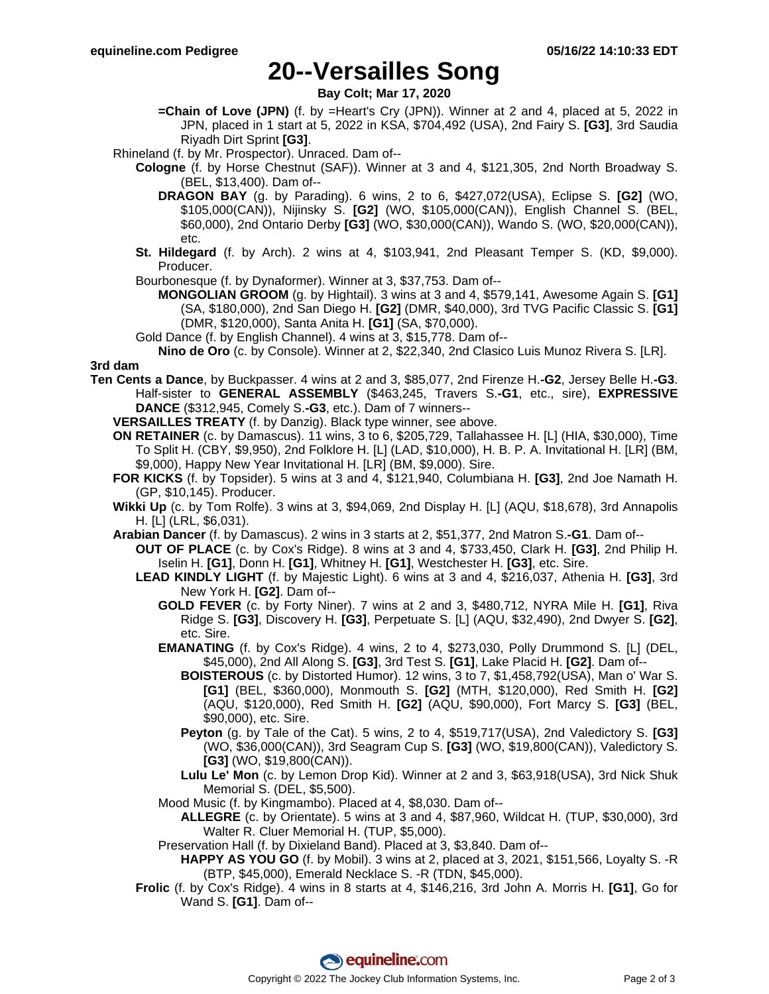## **20--Versailles Song**

**Bay Colt; Mar 17, 2020**

- **=Chain of Love (JPN)** (f. by =Heart's Cry (JPN)). Winner at 2 and 4, placed at 5, 2022 in JPN, placed in 1 start at 5, 2022 in KSA, \$704,492 (USA), 2nd Fairy S. **[G3]**, 3rd Saudia Riyadh Dirt Sprint **[G3]**.
- Rhineland (f. by Mr. Prospector). Unraced. Dam of--
	- **Cologne** (f. by Horse Chestnut (SAF)). Winner at 3 and 4, \$121,305, 2nd North Broadway S. (BEL, \$13,400). Dam of--
		- **DRAGON BAY** (g. by Parading). 6 wins, 2 to 6, \$427,072(USA), Eclipse S. **[G2]** (WO, \$105,000(CAN)), Nijinsky S. **[G2]** (WO, \$105,000(CAN)), English Channel S. (BEL, \$60,000), 2nd Ontario Derby **[G3]** (WO, \$30,000(CAN)), Wando S. (WO, \$20,000(CAN)), etc.
	- **St. Hildegard** (f. by Arch). 2 wins at 4, \$103,941, 2nd Pleasant Temper S. (KD, \$9,000). Producer.
	- Bourbonesque (f. by Dynaformer). Winner at 3, \$37,753. Dam of--

**MONGOLIAN GROOM** (g. by Hightail). 3 wins at 3 and 4, \$579,141, Awesome Again S. **[G1]** (SA, \$180,000), 2nd San Diego H. **[G2]** (DMR, \$40,000), 3rd TVG Pacific Classic S. **[G1]** (DMR, \$120,000), Santa Anita H. **[G1]** (SA, \$70,000).

- Gold Dance (f. by English Channel). 4 wins at 3, \$15,778. Dam of--
- **Nino de Oro** (c. by Console). Winner at 2, \$22,340, 2nd Clasico Luis Munoz Rivera S. [LR]. **3rd dam**
- **Ten Cents a Dance**, by Buckpasser. 4 wins at 2 and 3, \$85,077, 2nd Firenze H.**-G2**, Jersey Belle H.**-G3**. Half-sister to **GENERAL ASSEMBLY** (\$463,245, Travers S.**-G1**, etc., sire), **EXPRESSIVE DANCE** (\$312,945, Comely S.**-G3**, etc.). Dam of 7 winners--
	- **VERSAILLES TREATY** (f. by Danzig). Black type winner, see above.
	- **ON RETAINER** (c. by Damascus). 11 wins, 3 to 6, \$205,729, Tallahassee H. [L] (HIA, \$30,000), Time To Split H. (CBY, \$9,950), 2nd Folklore H. [L] (LAD, \$10,000), H. B. P. A. Invitational H. [LR] (BM, \$9,000), Happy New Year Invitational H. [LR] (BM, \$9,000). Sire.
	- **FOR KICKS** (f. by Topsider). 5 wins at 3 and 4, \$121,940, Columbiana H. **[G3]**, 2nd Joe Namath H. (GP, \$10,145). Producer.
	- **Wikki Up** (c. by Tom Rolfe). 3 wins at 3, \$94,069, 2nd Display H. [L] (AQU, \$18,678), 3rd Annapolis H. [L] (LRL, \$6,031).
	- **Arabian Dancer** (f. by Damascus). 2 wins in 3 starts at 2, \$51,377, 2nd Matron S.**-G1**. Dam of--
		- **OUT OF PLACE** (c. by Cox's Ridge). 8 wins at 3 and 4, \$733,450, Clark H. **[G3]**, 2nd Philip H. Iselin H. **[G1]**, Donn H. **[G1]**, Whitney H. **[G1]**, Westchester H. **[G3]**, etc. Sire.
			- **LEAD KINDLY LIGHT** (f. by Majestic Light). 6 wins at 3 and 4, \$216,037, Athenia H. **[G3]**, 3rd New York H. **[G2]**. Dam of--
				- **GOLD FEVER** (c. by Forty Niner). 7 wins at 2 and 3, \$480,712, NYRA Mile H. **[G1]**, Riva Ridge S. **[G3]**, Discovery H. **[G3]**, Perpetuate S. [L] (AQU, \$32,490), 2nd Dwyer S. **[G2]**, etc. Sire.
				- **EMANATING** (f. by Cox's Ridge). 4 wins, 2 to 4, \$273,030, Polly Drummond S. [L] (DEL, \$45,000), 2nd All Along S. **[G3]**, 3rd Test S. **[G1]**, Lake Placid H. **[G2]**. Dam of--
					- **BOISTEROUS** (c. by Distorted Humor). 12 wins, 3 to 7, \$1,458,792(USA), Man o' War S. **[G1]** (BEL, \$360,000), Monmouth S. **[G2]** (MTH, \$120,000), Red Smith H. **[G2]** (AQU, \$120,000), Red Smith H. **[G2]** (AQU, \$90,000), Fort Marcy S. **[G3]** (BEL, \$90,000), etc. Sire.
					- **Peyton** (g. by Tale of the Cat). 5 wins, 2 to 4, \$519,717(USA), 2nd Valedictory S. **[G3]** (WO, \$36,000(CAN)), 3rd Seagram Cup S. **[G3]** (WO, \$19,800(CAN)), Valedictory S. **[G3]** (WO, \$19,800(CAN)).
					- **Lulu Le' Mon** (c. by Lemon Drop Kid). Winner at 2 and 3, \$63,918(USA), 3rd Nick Shuk Memorial S. (DEL, \$5,500).
				- Mood Music (f. by Kingmambo). Placed at 4, \$8,030. Dam of--
					- **ALLEGRE** (c. by Orientate). 5 wins at 3 and 4, \$87,960, Wildcat H. (TUP, \$30,000), 3rd Walter R. Cluer Memorial H. (TUP, \$5,000).
				- Preservation Hall (f. by Dixieland Band). Placed at 3, \$3,840. Dam of--
					- **HAPPY AS YOU GO** (f. by Mobil). 3 wins at 2, placed at 3, 2021, \$151,566, Loyalty S. -R (BTP, \$45,000), Emerald Necklace S. -R (TDN, \$45,000).
			- **Frolic** (f. by Cox's Ridge). 4 wins in 8 starts at 4, \$146,216, 3rd John A. Morris H. **[G1]**, Go for Wand S. **[G1]**. Dam of--